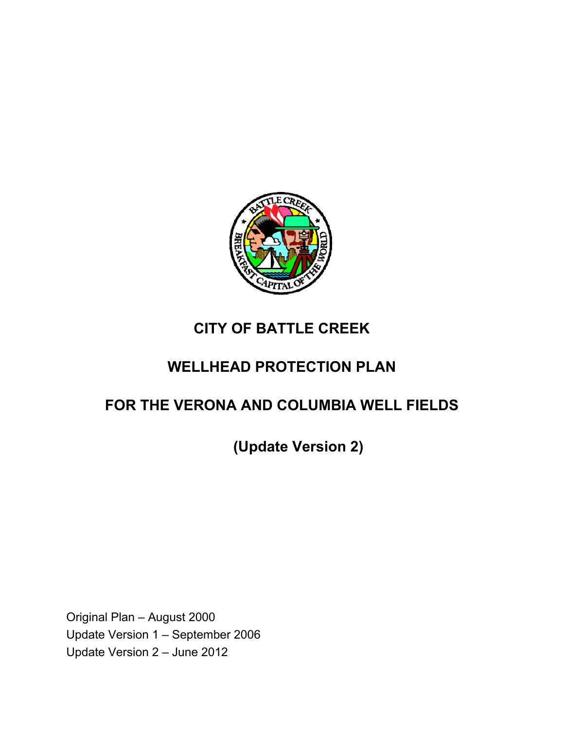

# **CITY OF BATTLE CREEK**

# **WELLHEAD PROTECTION PLAN**

# **FOR THE VERONA AND COLUMBIA WELL FIELDS**

**(Update Version 2)** 

Original Plan – August 2000 Update Version 1 – September 2006 Update Version 2 – June 2012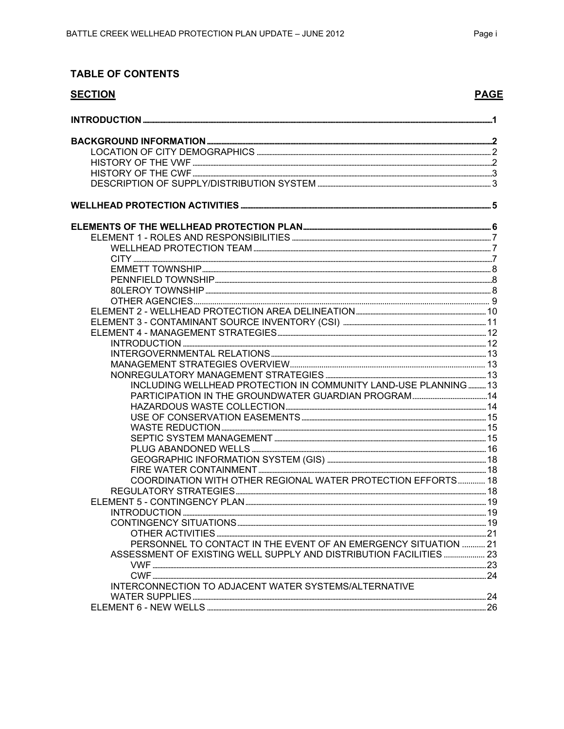# **TABLE OF CONTENTS**

| <b>SECTION</b>                                                     | <b>PAGE</b> |
|--------------------------------------------------------------------|-------------|
|                                                                    |             |
|                                                                    |             |
|                                                                    |             |
|                                                                    |             |
|                                                                    |             |
|                                                                    |             |
|                                                                    |             |
|                                                                    |             |
|                                                                    |             |
|                                                                    |             |
|                                                                    |             |
|                                                                    |             |
|                                                                    |             |
|                                                                    |             |
|                                                                    |             |
|                                                                    |             |
|                                                                    |             |
|                                                                    |             |
|                                                                    |             |
|                                                                    |             |
|                                                                    |             |
|                                                                    |             |
| INCLUDING WELLHEAD PROTECTION IN COMMUNITY LAND-USE PLANNING 13    |             |
|                                                                    |             |
|                                                                    |             |
|                                                                    |             |
|                                                                    |             |
|                                                                    |             |
|                                                                    |             |
|                                                                    |             |
|                                                                    |             |
| COORDINATION WITH OTHER REGIONAL WATER PROTECTION EFFORTS 18       |             |
|                                                                    |             |
|                                                                    |             |
|                                                                    |             |
|                                                                    |             |
|                                                                    |             |
| PERSONNEL TO CONTACT IN THE EVENT OF AN EMERGENCY SITUATION  21    |             |
| ASSESSMENT OF EXISTING WELL SUPPLY AND DISTRIBUTION FACILITIES  23 |             |
|                                                                    |             |
|                                                                    |             |
| INTERCONNECTION TO ADJACENT WATER SYSTEMS/ALTERNATIVE              |             |
|                                                                    |             |
|                                                                    |             |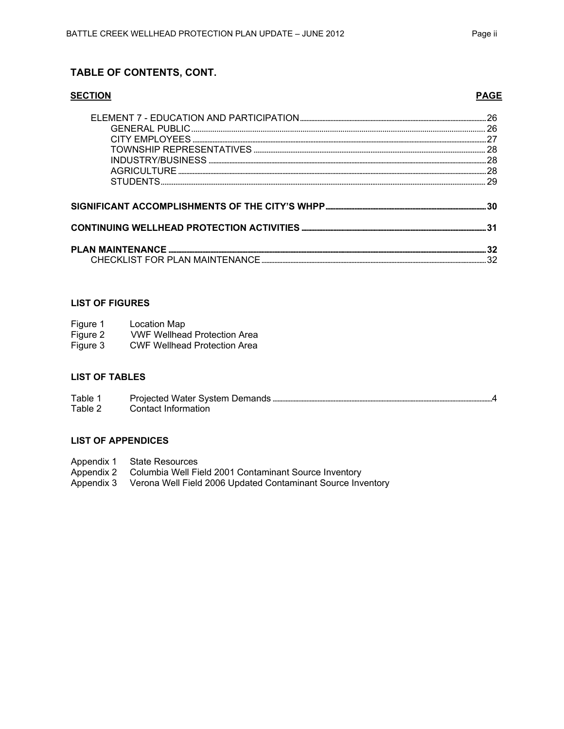### TABLE OF CONTENTS, CONT.

| 28 |
|----|
|    |
|    |
|    |
|    |
|    |
|    |
|    |

#### **LIST OF FIGURES**

| Figure 1 | Location Map                        |
|----------|-------------------------------------|
| Figure 2 | <b>VWF Wellhead Protection Area</b> |
| Figure 3 | <b>CWF Wellhead Protection Area</b> |

#### **LIST OF TABLES**

Table 1 Table 2 Contact Information

#### **LIST OF APPENDICES**

- 
- Appendix 1 State Resources<br>Appendix 2 Columbia Well Field 2001 Contaminant Source Inventory
- Appendix 3 Verona Well Field 2006 Updated Contaminant Source Inventory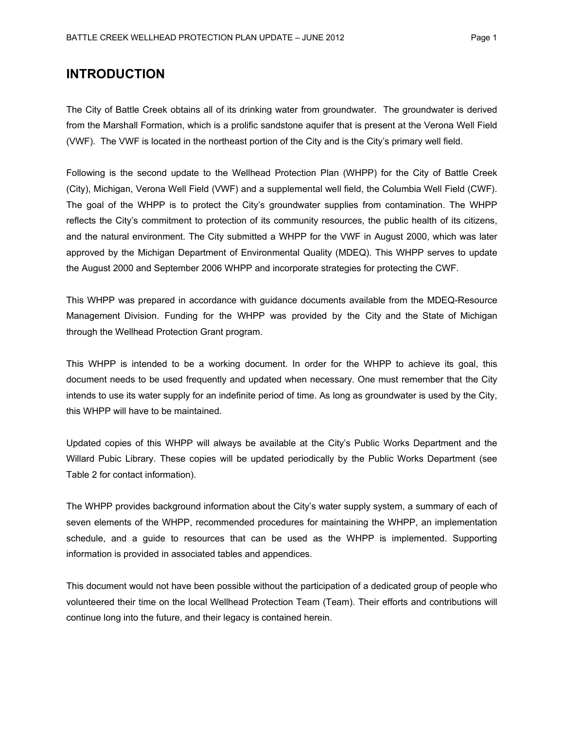# **INTRODUCTION**

The City of Battle Creek obtains all of its drinking water from groundwater. The groundwater is derived from the Marshall Formation, which is a prolific sandstone aquifer that is present at the Verona Well Field (VWF). The VWF is located in the northeast portion of the City and is the City's primary well field.

Following is the second update to the Wellhead Protection Plan (WHPP) for the City of Battle Creek (City), Michigan, Verona Well Field (VWF) and a supplemental well field, the Columbia Well Field (CWF). The goal of the WHPP is to protect the City's groundwater supplies from contamination. The WHPP reflects the City's commitment to protection of its community resources, the public health of its citizens, and the natural environment. The City submitted a WHPP for the VWF in August 2000, which was later approved by the Michigan Department of Environmental Quality (MDEQ). This WHPP serves to update the August 2000 and September 2006 WHPP and incorporate strategies for protecting the CWF.

This WHPP was prepared in accordance with guidance documents available from the MDEQ-Resource Management Division. Funding for the WHPP was provided by the City and the State of Michigan through the Wellhead Protection Grant program.

This WHPP is intended to be a working document. In order for the WHPP to achieve its goal, this document needs to be used frequently and updated when necessary. One must remember that the City intends to use its water supply for an indefinite period of time. As long as groundwater is used by the City, this WHPP will have to be maintained.

Updated copies of this WHPP will always be available at the City's Public Works Department and the Willard Pubic Library. These copies will be updated periodically by the Public Works Department (see Table 2 for contact information).

The WHPP provides background information about the City's water supply system, a summary of each of seven elements of the WHPP, recommended procedures for maintaining the WHPP, an implementation schedule, and a guide to resources that can be used as the WHPP is implemented. Supporting information is provided in associated tables and appendices.

This document would not have been possible without the participation of a dedicated group of people who volunteered their time on the local Wellhead Protection Team (Team). Their efforts and contributions will continue long into the future, and their legacy is contained herein.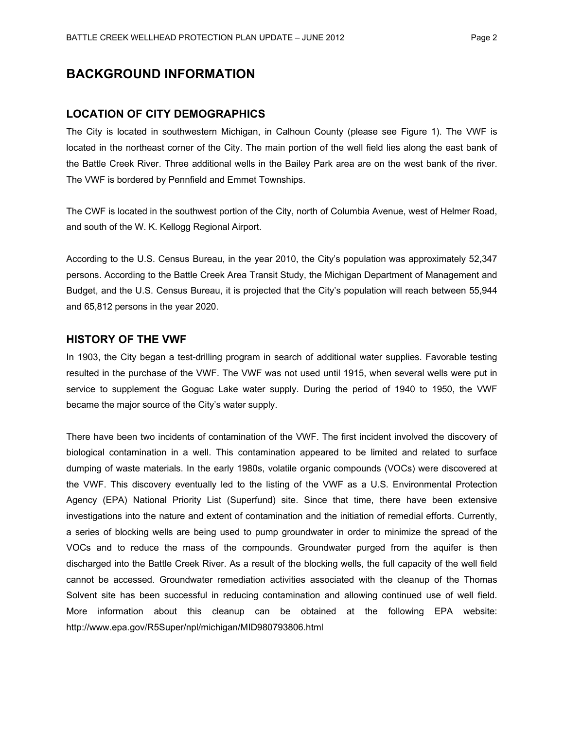# **BACKGROUND INFORMATION**

#### **LOCATION OF CITY DEMOGRAPHICS**

The City is located in southwestern Michigan, in Calhoun County (please see Figure 1). The VWF is located in the northeast corner of the City. The main portion of the well field lies along the east bank of the Battle Creek River. Three additional wells in the Bailey Park area are on the west bank of the river. The VWF is bordered by Pennfield and Emmet Townships.

The CWF is located in the southwest portion of the City, north of Columbia Avenue, west of Helmer Road, and south of the W. K. Kellogg Regional Airport.

According to the U.S. Census Bureau, in the year 2010, the City's population was approximately 52,347 persons. According to the Battle Creek Area Transit Study, the Michigan Department of Management and Budget, and the U.S. Census Bureau, it is projected that the City's population will reach between 55,944 and 65,812 persons in the year 2020.

#### **HISTORY OF THE VWF**

In 1903, the City began a test-drilling program in search of additional water supplies. Favorable testing resulted in the purchase of the VWF. The VWF was not used until 1915, when several wells were put in service to supplement the Goguac Lake water supply. During the period of 1940 to 1950, the VWF became the major source of the City's water supply.

There have been two incidents of contamination of the VWF. The first incident involved the discovery of biological contamination in a well. This contamination appeared to be limited and related to surface dumping of waste materials. In the early 1980s, volatile organic compounds (VOCs) were discovered at the VWF. This discovery eventually led to the listing of the VWF as a U.S. Environmental Protection Agency (EPA) National Priority List (Superfund) site. Since that time, there have been extensive investigations into the nature and extent of contamination and the initiation of remedial efforts. Currently, a series of blocking wells are being used to pump groundwater in order to minimize the spread of the VOCs and to reduce the mass of the compounds. Groundwater purged from the aquifer is then discharged into the Battle Creek River. As a result of the blocking wells, the full capacity of the well field cannot be accessed. Groundwater remediation activities associated with the cleanup of the Thomas Solvent site has been successful in reducing contamination and allowing continued use of well field. More information about this cleanup can be obtained at the following EPA website: http://www.epa.gov/R5Super/npl/michigan/MID980793806.html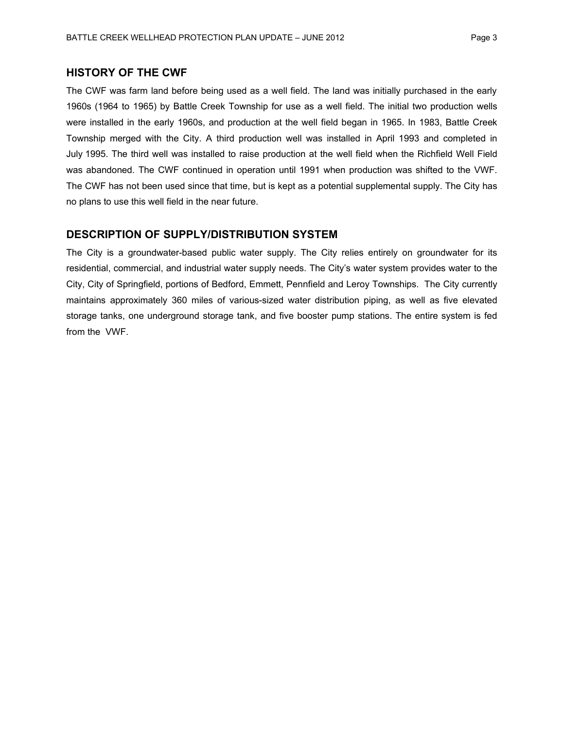### **HISTORY OF THE CWF**

The CWF was farm land before being used as a well field. The land was initially purchased in the early 1960s (1964 to 1965) by Battle Creek Township for use as a well field. The initial two production wells were installed in the early 1960s, and production at the well field began in 1965. In 1983, Battle Creek Township merged with the City. A third production well was installed in April 1993 and completed in July 1995. The third well was installed to raise production at the well field when the Richfield Well Field was abandoned. The CWF continued in operation until 1991 when production was shifted to the VWF. The CWF has not been used since that time, but is kept as a potential supplemental supply. The City has no plans to use this well field in the near future.

### **DESCRIPTION OF SUPPLY/DISTRIBUTION SYSTEM**

The City is a groundwater-based public water supply. The City relies entirely on groundwater for its residential, commercial, and industrial water supply needs. The City's water system provides water to the City, City of Springfield, portions of Bedford, Emmett, Pennfield and Leroy Townships. The City currently maintains approximately 360 miles of various-sized water distribution piping, as well as five elevated storage tanks, one underground storage tank, and five booster pump stations. The entire system is fed from the VWF.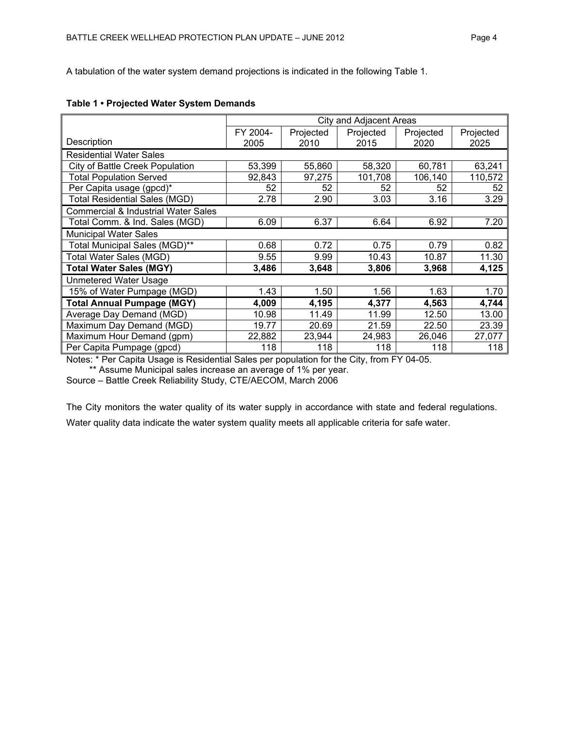A tabulation of the water system demand projections is indicated in the following Table 1.

|                                                | City and Adjacent Areas |           |           |           |           |
|------------------------------------------------|-------------------------|-----------|-----------|-----------|-----------|
|                                                | FY 2004-                | Projected | Projected | Projected | Projected |
| Description                                    | 2005                    | 2010      | 2015      | 2020      | 2025      |
| <b>Residential Water Sales</b>                 |                         |           |           |           |           |
| City of Battle Creek Population                | 53,399                  | 55,860    | 58,320    | 60,781    | 63,241    |
| <b>Total Population Served</b>                 | 92,843                  | 97,275    | 101,708   | 106,140   | 110,572   |
| Per Capita usage (gpcd)*                       | 52                      | 52        | 52        | 52        | 52        |
| <b>Total Residential Sales (MGD)</b>           | 2.78                    | 2.90      | 3.03      | 3.16      | 3.29      |
| <b>Commercial &amp; Industrial Water Sales</b> |                         |           |           |           |           |
| Total Comm. & Ind. Sales (MGD)                 | 6.09                    | 6.37      | 6.64      | 6.92      | 7.20      |
| <b>Municipal Water Sales</b>                   |                         |           |           |           |           |
| Total Municipal Sales (MGD)**                  | 0.68                    | 0.72      | 0.75      | 0.79      | 0.82      |
| Total Water Sales (MGD)                        | 9.55                    | 9.99      | 10.43     | 10.87     | 11.30     |
| <b>Total Water Sales (MGY)</b>                 | 3,486                   | 3,648     | 3,806     | 3,968     | 4,125     |
| <b>Unmetered Water Usage</b>                   |                         |           |           |           |           |
| 15% of Water Pumpage (MGD)                     | 1.43                    | 1.50      | 1.56      | 1.63      | 1.70      |
| <b>Total Annual Pumpage (MGY)</b>              | 4,009                   | 4,195     | 4,377     | 4,563     | 4,744     |
| Average Day Demand (MGD)                       | 10.98                   | 11.49     | 11.99     | 12.50     | 13.00     |
| Maximum Day Demand (MGD)                       | 19.77                   | 20.69     | 21.59     | 22.50     | 23.39     |
| Maximum Hour Demand (gpm)                      | 22,882                  | 23,944    | 24,983    | 26,046    | 27,077    |
| Per Capita Pumpage (gpcd)                      | 118                     | 118       | 118       | 118       | 118       |

#### **Table 1 • Projected Water System Demands**

Notes: \* Per Capita Usage is Residential Sales per population for the City, from FY 04-05.

\*\* Assume Municipal sales increase an average of 1% per year.

Source – Battle Creek Reliability Study, CTE/AECOM, March 2006

The City monitors the water quality of its water supply in accordance with state and federal regulations.

Water quality data indicate the water system quality meets all applicable criteria for safe water.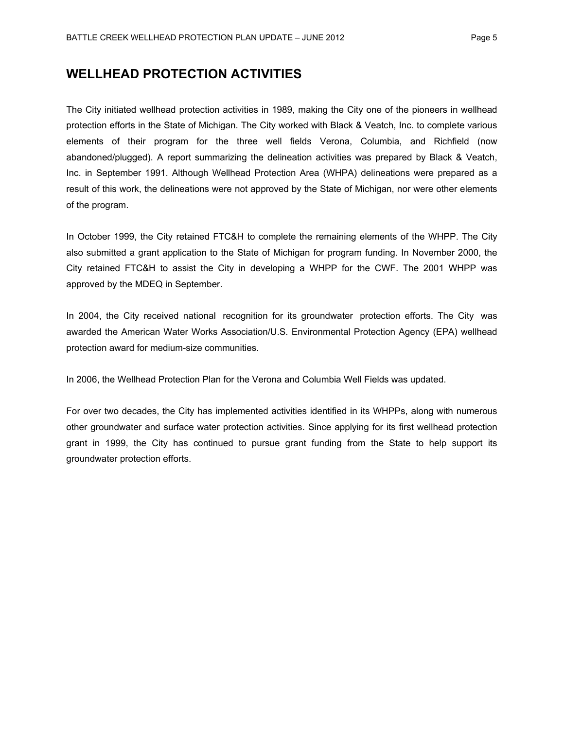### **WELLHEAD PROTECTION ACTIVITIES**

The City initiated wellhead protection activities in 1989, making the City one of the pioneers in wellhead protection efforts in the State of Michigan. The City worked with Black & Veatch, Inc. to complete various elements of their program for the three well fields Verona, Columbia, and Richfield (now abandoned/plugged). A report summarizing the delineation activities was prepared by Black & Veatch, Inc. in September 1991. Although Wellhead Protection Area (WHPA) delineations were prepared as a result of this work, the delineations were not approved by the State of Michigan, nor were other elements of the program.

In October 1999, the City retained FTC&H to complete the remaining elements of the WHPP. The City also submitted a grant application to the State of Michigan for program funding. In November 2000, the City retained FTC&H to assist the City in developing a WHPP for the CWF. The 2001 WHPP was approved by the MDEQ in September.

In 2004, the City received national recognition for its groundwater protection efforts. The City was awarded the American Water Works Association/U.S. Environmental Protection Agency (EPA) wellhead protection award for medium-size communities.

In 2006, the Wellhead Protection Plan for the Verona and Columbia Well Fields was updated.

For over two decades, the City has implemented activities identified in its WHPPs, along with numerous other groundwater and surface water protection activities. Since applying for its first wellhead protection grant in 1999, the City has continued to pursue grant funding from the State to help support its groundwater protection efforts.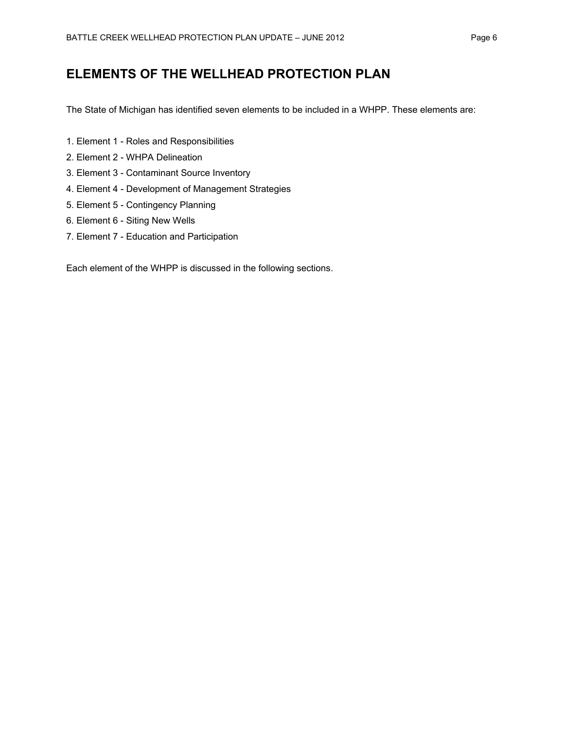# **ELEMENTS OF THE WELLHEAD PROTECTION PLAN**

The State of Michigan has identified seven elements to be included in a WHPP. These elements are:

- 1. Element 1 Roles and Responsibilities
- 2. Element 2 WHPA Delineation
- 3. Element 3 Contaminant Source Inventory
- 4. Element 4 Development of Management Strategies
- 5. Element 5 Contingency Planning
- 6. Element 6 Siting New Wells
- 7. Element 7 Education and Participation

Each element of the WHPP is discussed in the following sections.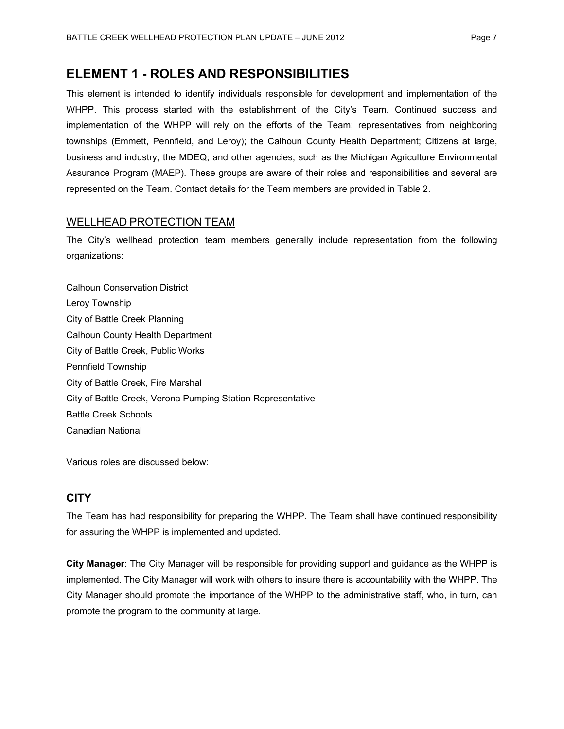# **ELEMENT 1 - ROLES AND RESPONSIBILITIES**

This element is intended to identify individuals responsible for development and implementation of the WHPP. This process started with the establishment of the City's Team. Continued success and implementation of the WHPP will rely on the efforts of the Team; representatives from neighboring townships (Emmett, Pennfield, and Leroy); the Calhoun County Health Department; Citizens at large, business and industry, the MDEQ; and other agencies, such as the Michigan Agriculture Environmental Assurance Program (MAEP). These groups are aware of their roles and responsibilities and several are represented on the Team. Contact details for the Team members are provided in Table 2.

### WELLHEAD PROTECTION TEAM

The City's wellhead protection team members generally include representation from the following organizations:

Calhoun Conservation District Leroy Township City of Battle Creek Planning Calhoun County Health Department City of Battle Creek, Public Works Pennfield Township City of Battle Creek, Fire Marshal City of Battle Creek, Verona Pumping Station Representative Battle Creek Schools Canadian National

Various roles are discussed below:

### **CITY**

The Team has had responsibility for preparing the WHPP. The Team shall have continued responsibility for assuring the WHPP is implemented and updated.

**City Manager**: The City Manager will be responsible for providing support and guidance as the WHPP is implemented. The City Manager will work with others to insure there is accountability with the WHPP. The City Manager should promote the importance of the WHPP to the administrative staff, who, in turn, can promote the program to the community at large.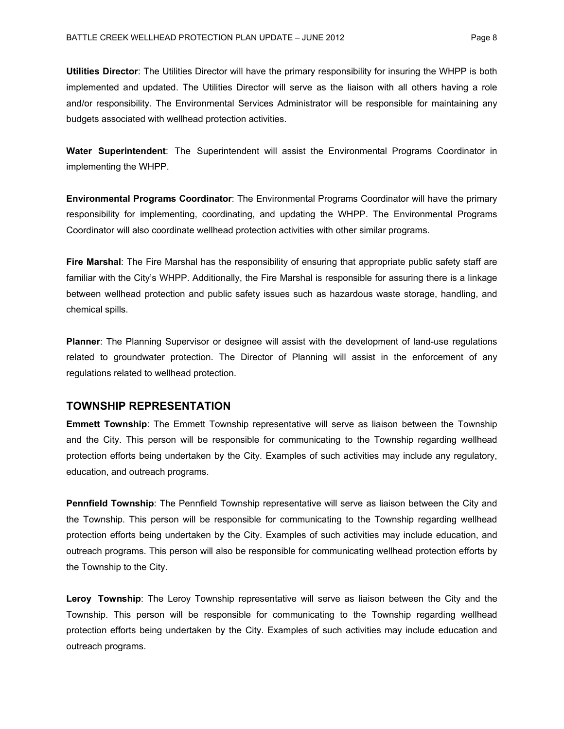**Utilities Director**: The Utilities Director will have the primary responsibility for insuring the WHPP is both implemented and updated. The Utilities Director will serve as the liaison with all others having a role and/or responsibility. The Environmental Services Administrator will be responsible for maintaining any budgets associated with wellhead protection activities.

**Water Superintendent**: The Superintendent will assist the Environmental Programs Coordinator in implementing the WHPP.

**Environmental Programs Coordinator**: The Environmental Programs Coordinator will have the primary responsibility for implementing, coordinating, and updating the WHPP. The Environmental Programs Coordinator will also coordinate wellhead protection activities with other similar programs.

**Fire Marshal**: The Fire Marshal has the responsibility of ensuring that appropriate public safety staff are familiar with the City's WHPP. Additionally, the Fire Marshal is responsible for assuring there is a linkage between wellhead protection and public safety issues such as hazardous waste storage, handling, and chemical spills.

**Planner**: The Planning Supervisor or designee will assist with the development of land-use regulations related to groundwater protection. The Director of Planning will assist in the enforcement of any regulations related to wellhead protection.

#### **TOWNSHIP REPRESENTATION**

**Emmett Township**: The Emmett Township representative will serve as liaison between the Township and the City. This person will be responsible for communicating to the Township regarding wellhead protection efforts being undertaken by the City. Examples of such activities may include any regulatory, education, and outreach programs.

**Pennfield Township**: The Pennfield Township representative will serve as liaison between the City and the Township. This person will be responsible for communicating to the Township regarding wellhead protection efforts being undertaken by the City. Examples of such activities may include education, and outreach programs. This person will also be responsible for communicating wellhead protection efforts by the Township to the City.

**Leroy Township**: The Leroy Township representative will serve as liaison between the City and the Township. This person will be responsible for communicating to the Township regarding wellhead protection efforts being undertaken by the City. Examples of such activities may include education and outreach programs.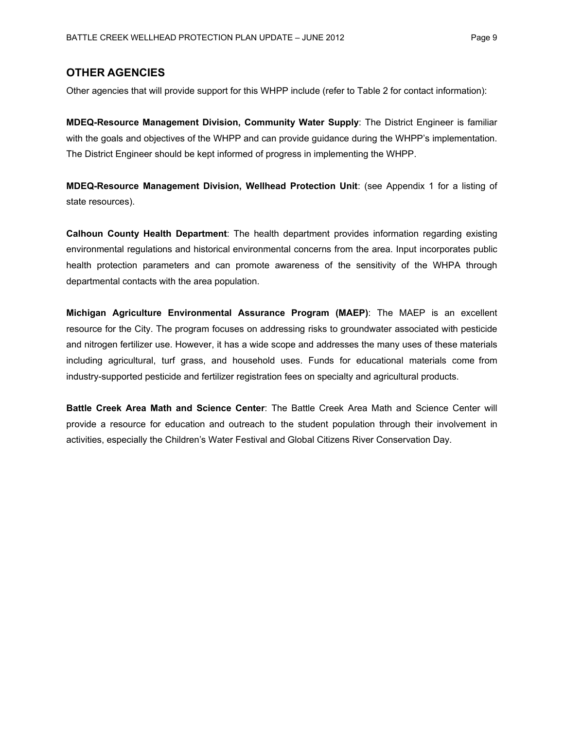### **OTHER AGENCIES**

Other agencies that will provide support for this WHPP include (refer to Table 2 for contact information):

**MDEQ-Resource Management Division, Community Water Supply**: The District Engineer is familiar with the goals and objectives of the WHPP and can provide guidance during the WHPP's implementation. The District Engineer should be kept informed of progress in implementing the WHPP.

**MDEQ-Resource Management Division, Wellhead Protection Unit**: (see Appendix 1 for a listing of state resources).

**Calhoun County Health Department**: The health department provides information regarding existing environmental regulations and historical environmental concerns from the area. Input incorporates public health protection parameters and can promote awareness of the sensitivity of the WHPA through departmental contacts with the area population.

**Michigan Agriculture Environmental Assurance Program (MAEP)**: The MAEP is an excellent resource for the City. The program focuses on addressing risks to groundwater associated with pesticide and nitrogen fertilizer use. However, it has a wide scope and addresses the many uses of these materials including agricultural, turf grass, and household uses. Funds for educational materials come from industry-supported pesticide and fertilizer registration fees on specialty and agricultural products.

**Battle Creek Area Math and Science Center**: The Battle Creek Area Math and Science Center will provide a resource for education and outreach to the student population through their involvement in activities, especially the Children's Water Festival and Global Citizens River Conservation Day.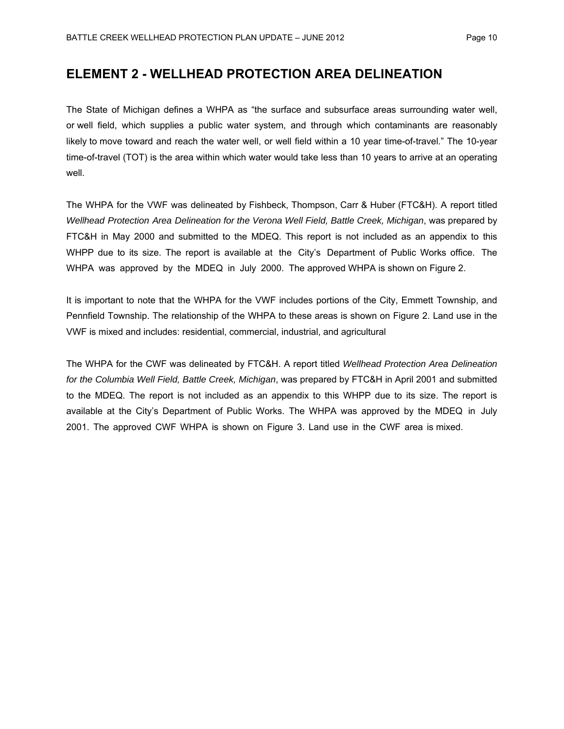# **ELEMENT 2 - WELLHEAD PROTECTION AREA DELINEATION**

The State of Michigan defines a WHPA as "the surface and subsurface areas surrounding water well, or well field, which supplies a public water system, and through which contaminants are reasonably likely to move toward and reach the water well, or well field within a 10 year time-of-travel." The 10-year time-of-travel (TOT) is the area within which water would take less than 10 years to arrive at an operating well.

The WHPA for the VWF was delineated by Fishbeck, Thompson, Carr & Huber (FTC&H). A report titled *Wellhead Protection Area Delineation for the Verona Well Field, Battle Creek, Michigan*, was prepared by FTC&H in May 2000 and submitted to the MDEQ. This report is not included as an appendix to this WHPP due to its size. The report is available at the City's Department of Public Works office. The WHPA was approved by the MDEQ in July 2000. The approved WHPA is shown on Figure 2.

It is important to note that the WHPA for the VWF includes portions of the City, Emmett Township, and Pennfield Township. The relationship of the WHPA to these areas is shown on Figure 2. Land use in the VWF is mixed and includes: residential, commercial, industrial, and agricultural

The WHPA for the CWF was delineated by FTC&H. A report titled *Wellhead Protection Area Delineation for the Columbia Well Field, Battle Creek, Michigan*, was prepared by FTC&H in April 2001 and submitted to the MDEQ. The report is not included as an appendix to this WHPP due to its size. The report is available at the City's Department of Public Works. The WHPA was approved by the MDEQ in July 2001. The approved CWF WHPA is shown on Figure 3. Land use in the CWF area is mixed.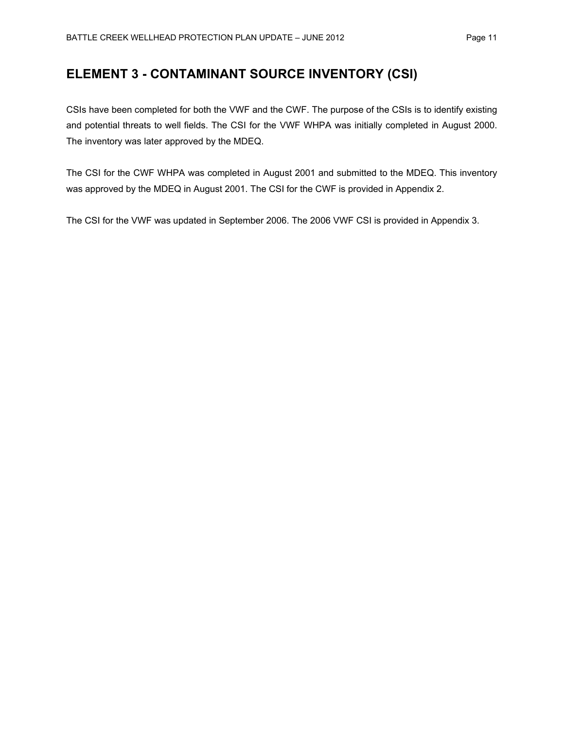# **ELEMENT 3 - CONTAMINANT SOURCE INVENTORY (CSI)**

CSIs have been completed for both the VWF and the CWF. The purpose of the CSIs is to identify existing and potential threats to well fields. The CSI for the VWF WHPA was initially completed in August 2000. The inventory was later approved by the MDEQ.

The CSI for the CWF WHPA was completed in August 2001 and submitted to the MDEQ. This inventory was approved by the MDEQ in August 2001. The CSI for the CWF is provided in Appendix 2.

The CSI for the VWF was updated in September 2006. The 2006 VWF CSI is provided in Appendix 3.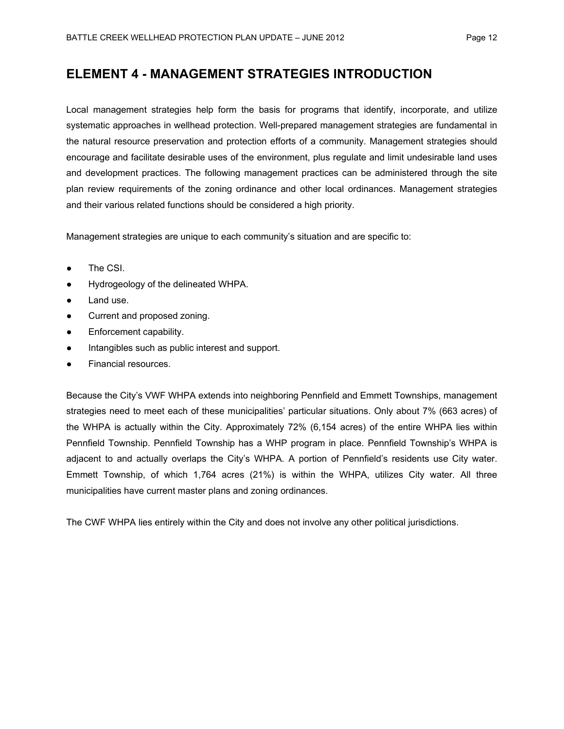# **ELEMENT 4 - MANAGEMENT STRATEGIES INTRODUCTION**

Local management strategies help form the basis for programs that identify, incorporate, and utilize systematic approaches in wellhead protection. Well-prepared management strategies are fundamental in the natural resource preservation and protection efforts of a community. Management strategies should encourage and facilitate desirable uses of the environment, plus regulate and limit undesirable land uses and development practices. The following management practices can be administered through the site plan review requirements of the zoning ordinance and other local ordinances. Management strategies and their various related functions should be considered a high priority.

Management strategies are unique to each community's situation and are specific to:

- The CSI.
- Hydrogeology of the delineated WHPA.
- Land use.
- Current and proposed zoning.
- Enforcement capability.
- Intangibles such as public interest and support.
- Financial resources.

Because the City's VWF WHPA extends into neighboring Pennfield and Emmett Townships, management strategies need to meet each of these municipalities' particular situations. Only about 7% (663 acres) of the WHPA is actually within the City. Approximately 72% (6,154 acres) of the entire WHPA lies within Pennfield Township. Pennfield Township has a WHP program in place. Pennfield Township's WHPA is adjacent to and actually overlaps the City's WHPA. A portion of Pennfield's residents use City water. Emmett Township, of which 1,764 acres (21%) is within the WHPA, utilizes City water. All three municipalities have current master plans and zoning ordinances.

The CWF WHPA lies entirely within the City and does not involve any other political jurisdictions.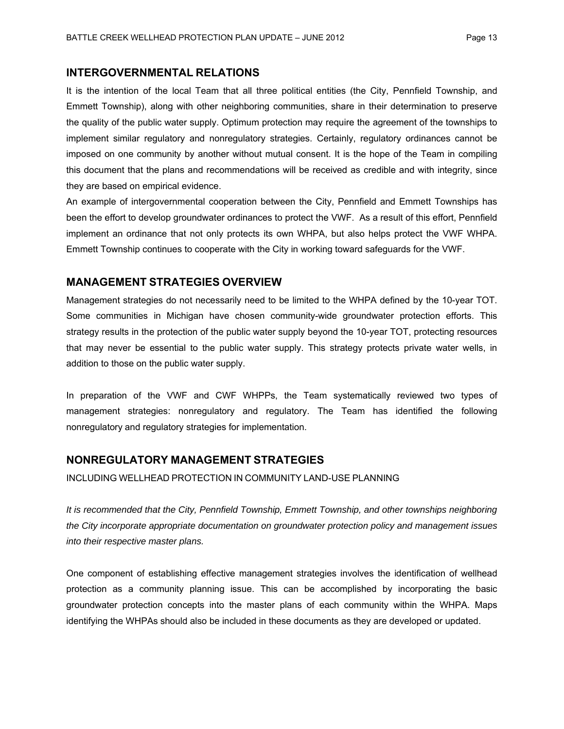### **INTERGOVERNMENTAL RELATIONS**

It is the intention of the local Team that all three political entities (the City, Pennfield Township, and Emmett Township), along with other neighboring communities, share in their determination to preserve the quality of the public water supply. Optimum protection may require the agreement of the townships to implement similar regulatory and nonregulatory strategies. Certainly, regulatory ordinances cannot be imposed on one community by another without mutual consent. It is the hope of the Team in compiling this document that the plans and recommendations will be received as credible and with integrity, since they are based on empirical evidence.

An example of intergovernmental cooperation between the City, Pennfield and Emmett Townships has been the effort to develop groundwater ordinances to protect the VWF. As a result of this effort, Pennfield implement an ordinance that not only protects its own WHPA, but also helps protect the VWF WHPA. Emmett Township continues to cooperate with the City in working toward safeguards for the VWF.

#### **MANAGEMENT STRATEGIES OVERVIEW**

Management strategies do not necessarily need to be limited to the WHPA defined by the 10-year TOT. Some communities in Michigan have chosen community-wide groundwater protection efforts. This strategy results in the protection of the public water supply beyond the 10-year TOT, protecting resources that may never be essential to the public water supply. This strategy protects private water wells, in addition to those on the public water supply.

In preparation of the VWF and CWF WHPPs, the Team systematically reviewed two types of management strategies: nonregulatory and regulatory. The Team has identified the following nonregulatory and regulatory strategies for implementation.

#### **NONREGULATORY MANAGEMENT STRATEGIES**

INCLUDING WELLHEAD PROTECTION IN COMMUNITY LAND-USE PLANNING

*It is recommended that the City, Pennfield Township, Emmett Township, and other townships neighboring the City incorporate appropriate documentation on groundwater protection policy and management issues into their respective master plans.*

One component of establishing effective management strategies involves the identification of wellhead protection as a community planning issue. This can be accomplished by incorporating the basic groundwater protection concepts into the master plans of each community within the WHPA. Maps identifying the WHPAs should also be included in these documents as they are developed or updated.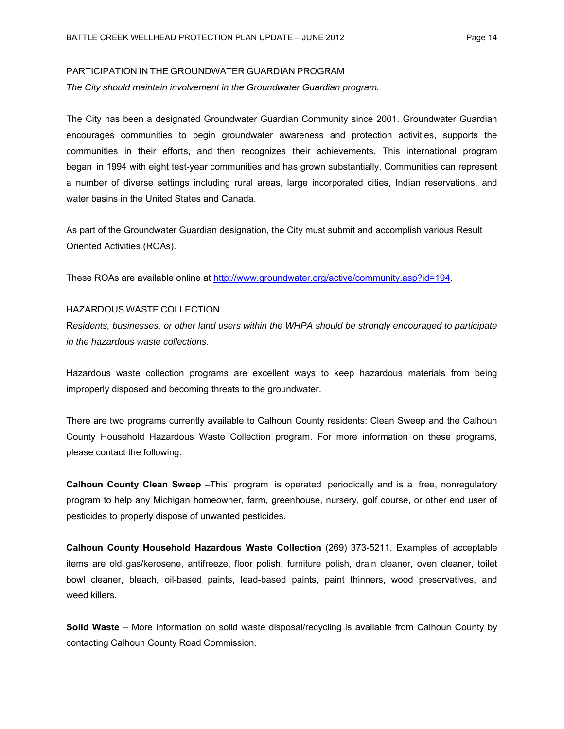#### PARTICIPATION IN THE GROUNDWATER GUARDIAN PROGRAM

*The City should maintain involvement in the Groundwater Guardian program.*

The City has been a designated Groundwater Guardian Community since 2001. Groundwater Guardian encourages communities to begin groundwater awareness and protection activities, supports the communities in their efforts, and then recognizes their achievements. This international program began in 1994 with eight test-year communities and has grown substantially. Communities can represent a number of diverse settings including rural areas, large incorporated cities, Indian reservations, and water basins in the United States and Canada.

As part of the Groundwater Guardian designation, the City must submit and accomplish various Result Oriented Activities (ROAs).

These ROAs are available online at http://www.groundwater.org/active/community.asp?id=194.

#### HAZARDOUS WASTE COLLECTION

R*esidents, businesses, or other land users within the WHPA should be strongly encouraged to participate in the hazardous waste collections.*

Hazardous waste collection programs are excellent ways to keep hazardous materials from being improperly disposed and becoming threats to the groundwater.

There are two programs currently available to Calhoun County residents: Clean Sweep and the Calhoun County Household Hazardous Waste Collection program. For more information on these programs, please contact the following:

**Calhoun County Clean Sweep** –This program is operated periodically and is a free, nonregulatory program to help any Michigan homeowner, farm, greenhouse, nursery, golf course, or other end user of pesticides to properly dispose of unwanted pesticides.

**Calhoun County Household Hazardous Waste Collection** (269) 373-5211. Examples of acceptable items are old gas/kerosene, antifreeze, floor polish, furniture polish, drain cleaner, oven cleaner, toilet bowl cleaner, bleach, oil-based paints, lead-based paints, paint thinners, wood preservatives, and weed killers.

**Solid Waste** – More information on solid waste disposal/recycling is available from Calhoun County by contacting Calhoun County Road Commission.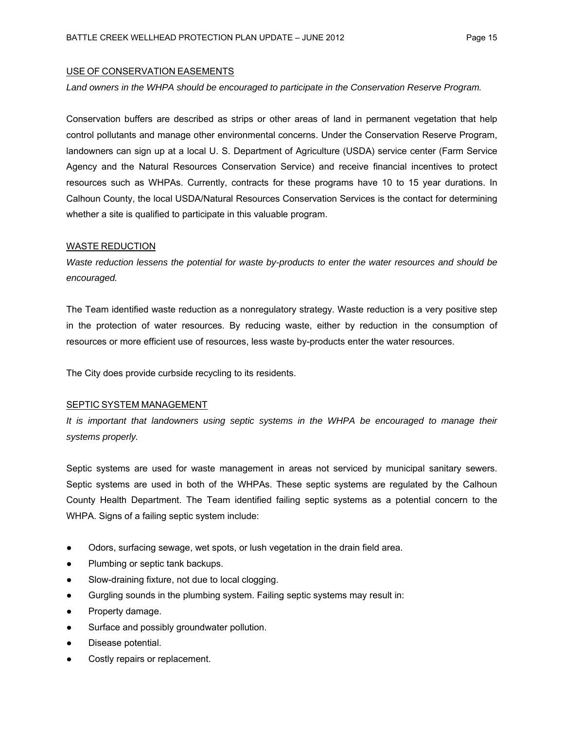#### USE OF CONSERVATION EASEMENTS

#### *Land owners in the WHPA should be encouraged to participate in the Conservation Reserve Program.*

Conservation buffers are described as strips or other areas of land in permanent vegetation that help control pollutants and manage other environmental concerns. Under the Conservation Reserve Program, landowners can sign up at a local U. S. Department of Agriculture (USDA) service center (Farm Service Agency and the Natural Resources Conservation Service) and receive financial incentives to protect resources such as WHPAs. Currently, contracts for these programs have 10 to 15 year durations. In Calhoun County, the local USDA/Natural Resources Conservation Services is the contact for determining whether a site is qualified to participate in this valuable program.

#### WASTE REDUCTION

*Waste reduction lessens the potential for waste by-products to enter the water resources and should be encouraged.*

The Team identified waste reduction as a nonregulatory strategy. Waste reduction is a very positive step in the protection of water resources. By reducing waste, either by reduction in the consumption of resources or more efficient use of resources, less waste by-products enter the water resources.

The City does provide curbside recycling to its residents.

#### SEPTIC SYSTEM MANAGEMENT

It is important that landowners using septic systems in the WHPA be encouraged to manage their *systems properly.*

Septic systems are used for waste management in areas not serviced by municipal sanitary sewers. Septic systems are used in both of the WHPAs. These septic systems are regulated by the Calhoun County Health Department. The Team identified failing septic systems as a potential concern to the WHPA. Signs of a failing septic system include:

- Odors, surfacing sewage, wet spots, or lush vegetation in the drain field area.
- Plumbing or septic tank backups.
- Slow-draining fixture, not due to local clogging.
- Gurgling sounds in the plumbing system. Failing septic systems may result in:
- Property damage.
- Surface and possibly groundwater pollution.
- Disease potential.
- Costly repairs or replacement.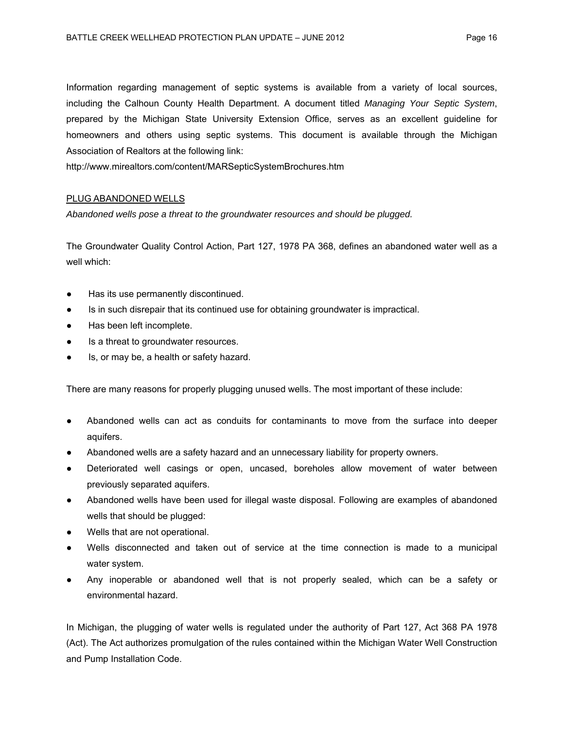Information regarding management of septic systems is available from a variety of local sources, including the Calhoun County Health Department. A document titled *Managing Your Septic System*, prepared by the Michigan State University Extension Office, serves as an excellent guideline for homeowners and others using septic systems. This document is available through the Michigan Association of Realtors at the following link:

http://www.mirealtors.com/content/MARSepticSystemBrochures.htm

#### PLUG ABANDONED WELLS

*Abandoned wells pose a threat to the groundwater resources and should be plugged.*

The Groundwater Quality Control Action, Part 127, 1978 PA 368, defines an abandoned water well as a well which:

- Has its use permanently discontinued.
- Is in such disrepair that its continued use for obtaining groundwater is impractical.
- Has been left incomplete.
- Is a threat to groundwater resources.
- Is, or may be, a health or safety hazard.

There are many reasons for properly plugging unused wells. The most important of these include:

- Abandoned wells can act as conduits for contaminants to move from the surface into deeper aquifers.
- Abandoned wells are a safety hazard and an unnecessary liability for property owners.
- Deteriorated well casings or open, uncased, boreholes allow movement of water between previously separated aquifers.
- Abandoned wells have been used for illegal waste disposal. Following are examples of abandoned wells that should be plugged:
- Wells that are not operational.
- Wells disconnected and taken out of service at the time connection is made to a municipal water system.
- Any inoperable or abandoned well that is not properly sealed, which can be a safety or environmental hazard.

In Michigan, the plugging of water wells is regulated under the authority of Part 127, Act 368 PA 1978 (Act). The Act authorizes promulgation of the rules contained within the Michigan Water Well Construction and Pump Installation Code.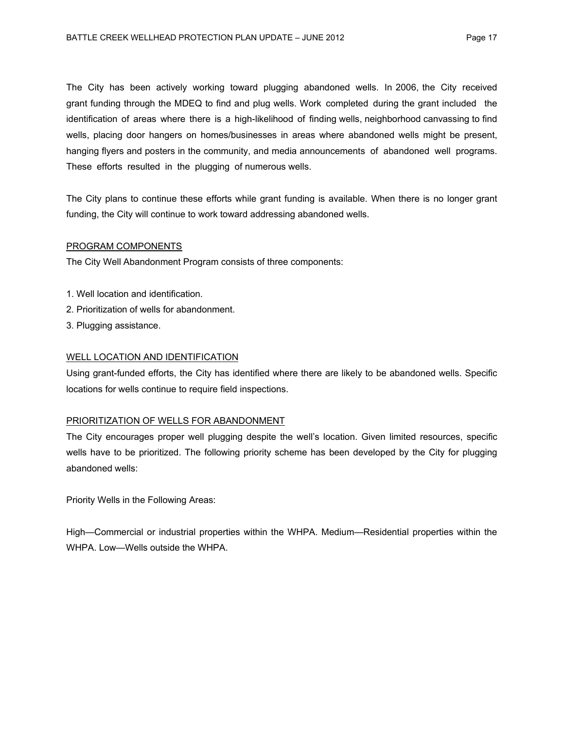The City has been actively working toward plugging abandoned wells. In 2006, the City received grant funding through the MDEQ to find and plug wells. Work completed during the grant included the identification of areas where there is a high-likelihood of finding wells, neighborhood canvassing to find wells, placing door hangers on homes/businesses in areas where abandoned wells might be present, hanging flyers and posters in the community, and media announcements of abandoned well programs. These efforts resulted in the plugging of numerous wells.

The City plans to continue these efforts while grant funding is available. When there is no longer grant funding, the City will continue to work toward addressing abandoned wells.

#### PROGRAM COMPONENTS

The City Well Abandonment Program consists of three components:

- 1. Well location and identification.
- 2. Prioritization of wells for abandonment.
- 3. Plugging assistance.

#### WELL LOCATION AND IDENTIFICATION

Using grant-funded efforts, the City has identified where there are likely to be abandoned wells. Specific locations for wells continue to require field inspections.

#### PRIORITIZATION OF WELLS FOR ABANDONMENT

The City encourages proper well plugging despite the well's location. Given limited resources, specific wells have to be prioritized. The following priority scheme has been developed by the City for plugging abandoned wells:

Priority Wells in the Following Areas:

High—Commercial or industrial properties within the WHPA. Medium—Residential properties within the WHPA. Low—Wells outside the WHPA.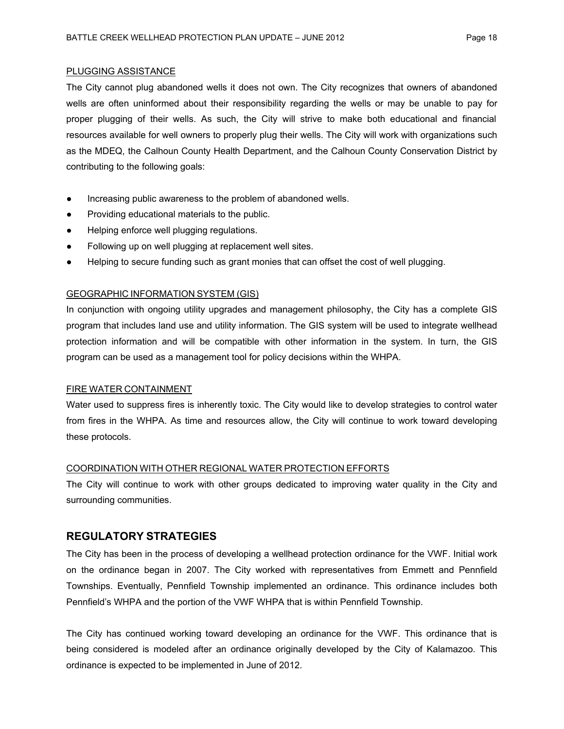#### PLUGGING ASSISTANCE

The City cannot plug abandoned wells it does not own. The City recognizes that owners of abandoned wells are often uninformed about their responsibility regarding the wells or may be unable to pay for proper plugging of their wells. As such, the City will strive to make both educational and financial resources available for well owners to properly plug their wells. The City will work with organizations such as the MDEQ, the Calhoun County Health Department, and the Calhoun County Conservation District by contributing to the following goals:

- Increasing public awareness to the problem of abandoned wells.
- Providing educational materials to the public.
- Helping enforce well plugging regulations.
- Following up on well plugging at replacement well sites.
- Helping to secure funding such as grant monies that can offset the cost of well plugging.

#### GEOGRAPHIC INFORMATION SYSTEM (GIS)

In conjunction with ongoing utility upgrades and management philosophy, the City has a complete GIS program that includes land use and utility information. The GIS system will be used to integrate wellhead protection information and will be compatible with other information in the system. In turn, the GIS program can be used as a management tool for policy decisions within the WHPA.

#### FIRE WATER CONTAINMENT

Water used to suppress fires is inherently toxic. The City would like to develop strategies to control water from fires in the WHPA. As time and resources allow, the City will continue to work toward developing these protocols.

#### COORDINATION WITH OTHER REGIONAL WATER PROTECTION EFFORTS

The City will continue to work with other groups dedicated to improving water quality in the City and surrounding communities.

### **REGULATORY STRATEGIES**

The City has been in the process of developing a wellhead protection ordinance for the VWF. Initial work on the ordinance began in 2007. The City worked with representatives from Emmett and Pennfield Townships. Eventually, Pennfield Township implemented an ordinance. This ordinance includes both Pennfield's WHPA and the portion of the VWF WHPA that is within Pennfield Township.

The City has continued working toward developing an ordinance for the VWF. This ordinance that is being considered is modeled after an ordinance originally developed by the City of Kalamazoo. This ordinance is expected to be implemented in June of 2012.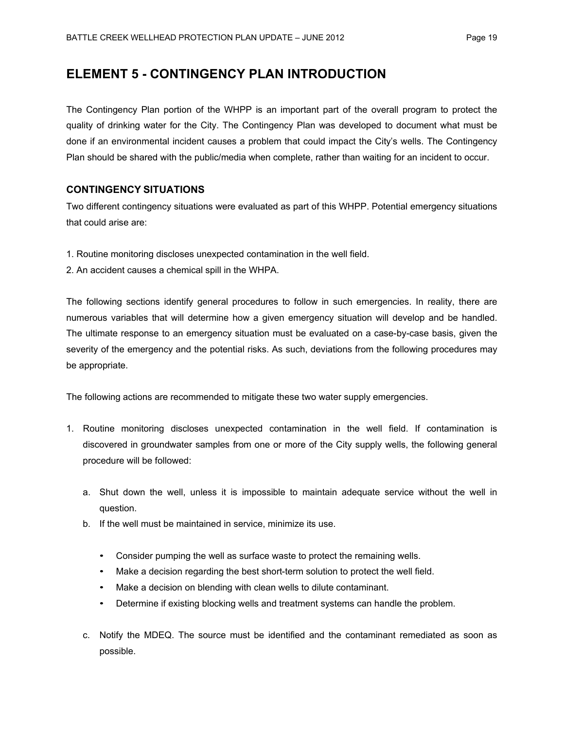# **ELEMENT 5 - CONTINGENCY PLAN INTRODUCTION**

The Contingency Plan portion of the WHPP is an important part of the overall program to protect the quality of drinking water for the City. The Contingency Plan was developed to document what must be done if an environmental incident causes a problem that could impact the City's wells. The Contingency Plan should be shared with the public/media when complete, rather than waiting for an incident to occur.

### **CONTINGENCY SITUATIONS**

Two different contingency situations were evaluated as part of this WHPP. Potential emergency situations that could arise are:

- 1. Routine monitoring discloses unexpected contamination in the well field.
- 2. An accident causes a chemical spill in the WHPA.

The following sections identify general procedures to follow in such emergencies. In reality, there are numerous variables that will determine how a given emergency situation will develop and be handled. The ultimate response to an emergency situation must be evaluated on a case-by-case basis, given the severity of the emergency and the potential risks. As such, deviations from the following procedures may be appropriate.

The following actions are recommended to mitigate these two water supply emergencies.

- 1. Routine monitoring discloses unexpected contamination in the well field. If contamination is discovered in groundwater samples from one or more of the City supply wells, the following general procedure will be followed:
	- a. Shut down the well, unless it is impossible to maintain adequate service without the well in question.
	- b. If the well must be maintained in service, minimize its use.
		- Consider pumping the well as surface waste to protect the remaining wells.
		- Make a decision regarding the best short-term solution to protect the well field.
		- Make a decision on blending with clean wells to dilute contaminant.
		- Determine if existing blocking wells and treatment systems can handle the problem.
	- c. Notify the MDEQ. The source must be identified and the contaminant remediated as soon as possible.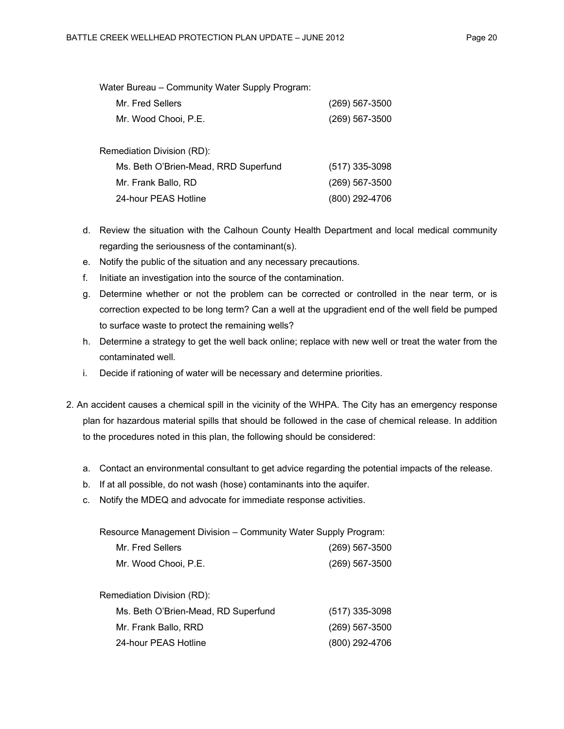| Water Bureau - Community Water Supply Program: |                |
|------------------------------------------------|----------------|
| Mr. Fred Sellers                               | (269) 567-3500 |
| Mr. Wood Chooi, P.E.                           | (269) 567-3500 |
|                                                |                |
| Remediation Division (RD):                     |                |
| Ms. Beth O'Brien-Mead, RRD Superfund           | (517) 335-3098 |
| Mr. Frank Ballo, RD                            | (269) 567-3500 |
| 24-hour PEAS Hotline                           | (800) 292-4706 |
|                                                |                |

- d. Review the situation with the Calhoun County Health Department and local medical community regarding the seriousness of the contaminant(s).
- e. Notify the public of the situation and any necessary precautions.
- f. Initiate an investigation into the source of the contamination.
- g. Determine whether or not the problem can be corrected or controlled in the near term, or is correction expected to be long term? Can a well at the upgradient end of the well field be pumped to surface waste to protect the remaining wells?
- h. Determine a strategy to get the well back online; replace with new well or treat the water from the contaminated well.
- i. Decide if rationing of water will be necessary and determine priorities.
- 2. An accident causes a chemical spill in the vicinity of the WHPA. The City has an emergency response plan for hazardous material spills that should be followed in the case of chemical release. In addition to the procedures noted in this plan, the following should be considered:
	- a. Contact an environmental consultant to get advice regarding the potential impacts of the release.
	- b. If at all possible, do not wash (hose) contaminants into the aquifer.
	- c. Notify the MDEQ and advocate for immediate response activities.

Resource Management Division – Community Water Supply Program:

| Mr. Fred Sellers     | (269) 567-3500 |
|----------------------|----------------|
| Mr. Wood Chooi, P.E. | (269) 567-3500 |

| Remediation Division (RD):          |                  |
|-------------------------------------|------------------|
| Ms. Beth O'Brien-Mead, RD Superfund | $(517)$ 335-3098 |
| Mr. Frank Ballo, RRD                | $(269)$ 567-3500 |
| 24-hour PEAS Hotline                | (800) 292-4706   |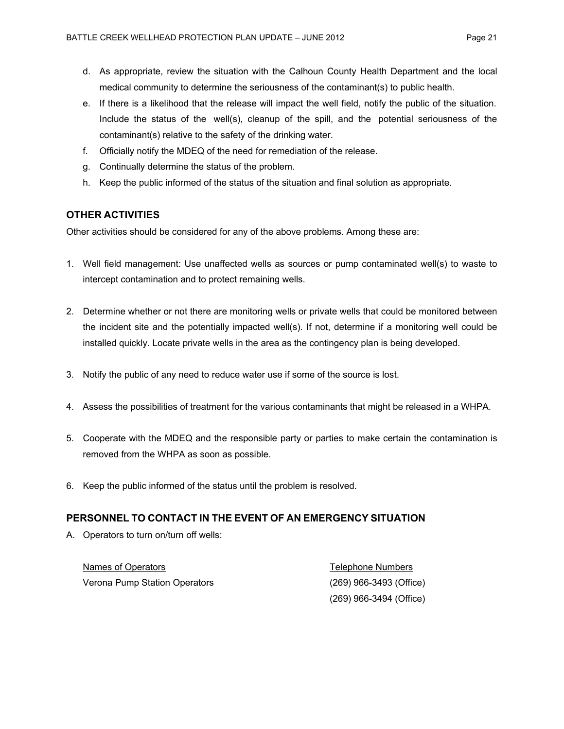- d. As appropriate, review the situation with the Calhoun County Health Department and the local medical community to determine the seriousness of the contaminant(s) to public health.
- e. If there is a likelihood that the release will impact the well field, notify the public of the situation. Include the status of the well(s), cleanup of the spill, and the potential seriousness of the contaminant(s) relative to the safety of the drinking water.
- f. Officially notify the MDEQ of the need for remediation of the release.
- g. Continually determine the status of the problem.
- h. Keep the public informed of the status of the situation and final solution as appropriate.

### **OTHER ACTIVITIES**

Other activities should be considered for any of the above problems. Among these are:

- 1. Well field management: Use unaffected wells as sources or pump contaminated well(s) to waste to intercept contamination and to protect remaining wells.
- 2. Determine whether or not there are monitoring wells or private wells that could be monitored between the incident site and the potentially impacted well(s). If not, determine if a monitoring well could be installed quickly. Locate private wells in the area as the contingency plan is being developed.
- 3. Notify the public of any need to reduce water use if some of the source is lost.
- 4. Assess the possibilities of treatment for the various contaminants that might be released in a WHPA.
- 5. Cooperate with the MDEQ and the responsible party or parties to make certain the contamination is removed from the WHPA as soon as possible.
- 6. Keep the public informed of the status until the problem is resolved.

#### **PERSONNEL TO CONTACT IN THE EVENT OF AN EMERGENCY SITUATION**

A. Operators to turn on/turn off wells:

| Names of Operators            | Telephone Numbers         |
|-------------------------------|---------------------------|
| Verona Pump Station Operators | $(269)$ 966-3493 (Office) |
|                               | $(269)$ 966-3494 (Office) |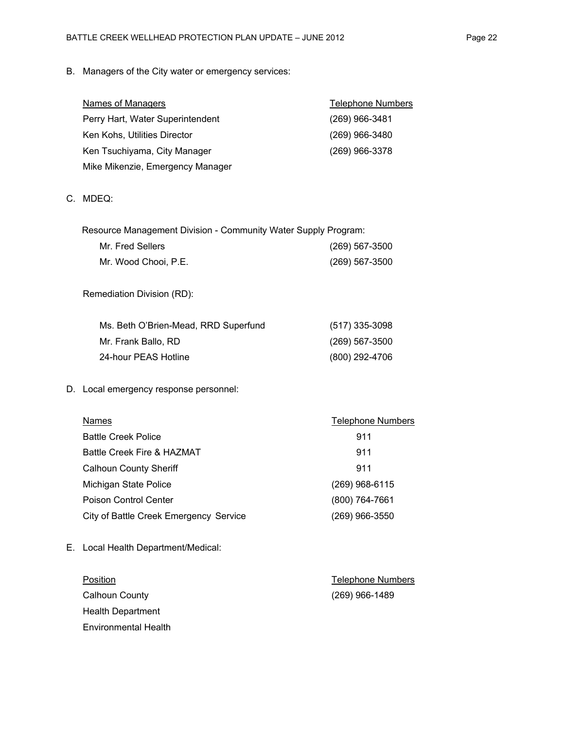| <b>Names of Managers</b>         | <b>Telephone Numbers</b> |
|----------------------------------|--------------------------|
| Perry Hart, Water Superintendent | $(269)$ 966-3481         |
| Ken Kohs, Utilities Director     | (269) 966-3480           |
| Ken Tsuchiyama, City Manager     | (269) 966-3378           |
| Mike Mikenzie, Emergency Manager |                          |
|                                  |                          |

### C. MDEQ:

| Resource Management Division - Community Water Supply Program: |                |  |
|----------------------------------------------------------------|----------------|--|
| Mr. Fred Sellers                                               | (269) 567-3500 |  |
| Mr. Wood Chooi, P.E.                                           | (269) 567-3500 |  |
| Remediation Division (RD):                                     |                |  |
| Ms. Beth O'Brien-Mead, RRD Superfund                           | (517) 335-3098 |  |
| Mr. Frank Ballo, RD                                            | (269) 567-3500 |  |
| 24-hour PEAS Hotline                                           | (800) 292-4706 |  |

### D. Local emergency response personnel:

| Names                                  | <b>Telephone Numbers</b> |
|----------------------------------------|--------------------------|
| <b>Battle Creek Police</b>             | 911                      |
| Battle Creek Fire & HAZMAT             | 911                      |
| <b>Calhoun County Sheriff</b>          | 911                      |
| Michigan State Police                  | (269) 968-6115           |
| <b>Poison Control Center</b>           | (800) 764-7661           |
| City of Battle Creek Emergency Service | (269) 966-3550           |

E. Local Health Department/Medical:

| Position                 | <b>Telephone Numbers</b> |
|--------------------------|--------------------------|
| Calhoun County           | (269) 966-1489           |
| <b>Health Department</b> |                          |
| Environmental Health     |                          |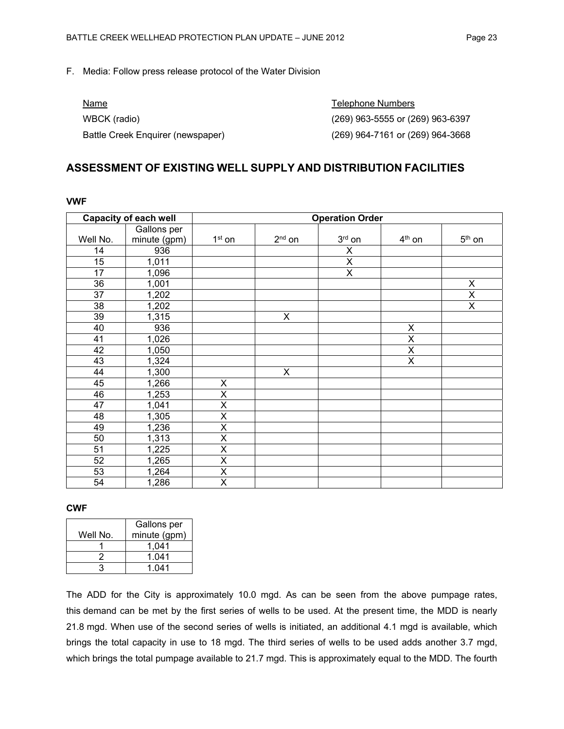#### F. Media: Follow press release protocol of the Water Division

| Name                              | Telephone Numbers                |
|-----------------------------------|----------------------------------|
| WBCK (radio)                      | (269) 963-5555 or (269) 963-6397 |
| Battle Creek Enguirer (newspaper) | (269) 964-7161 or (269) 964-3668 |

### **ASSESSMENT OF EXISTING WELL SUPPLY AND DISTRIBUTION FACILITIES**

| <b>Capacity of each well</b> |              | <b>Operation Order</b>  |          |             |          |             |
|------------------------------|--------------|-------------------------|----------|-------------|----------|-------------|
|                              | Gallons per  |                         |          |             |          |             |
| Well No.                     | minute (gpm) | $1st$ on                | $2nd$ on | $3rd$ on    | $4th$ on | $5th$ on    |
| 14                           | 936          |                         |          | X           |          |             |
| 15                           | 1,011        |                         |          | $\mathsf X$ |          |             |
| 17                           | 1,096        |                         |          | X           |          |             |
| 36                           | 1,001        |                         |          |             |          | X           |
| 37                           | 1,202        |                         |          |             |          | $\mathsf X$ |
| 38                           | 1,202        |                         |          |             |          | X           |
| 39                           | 1,315        |                         | X        |             |          |             |
| 40                           | 936          |                         |          |             | X        |             |
| 41                           | 1,026        |                         |          |             | X        |             |
| 42                           | 1,050        |                         |          |             | X        |             |
| 43                           | 1,324        |                         |          |             | X        |             |
| 44                           | 1,300        |                         | X        |             |          |             |
| 45                           | 1,266        | X                       |          |             |          |             |
| 46                           | 1,253        | X                       |          |             |          |             |
| 47                           | 1,041        | $\pmb{\mathsf{X}}$      |          |             |          |             |
| 48                           | 1,305        | $\pmb{\mathsf{X}}$      |          |             |          |             |
| 49                           | 1,236        | $\pmb{\mathsf{X}}$      |          |             |          |             |
| 50                           | 1,313        | $\pmb{\mathsf{X}}$      |          |             |          |             |
| 51                           | 1,225        | $\pmb{\mathsf{X}}$      |          |             |          |             |
| 52                           | 1,265        | $\overline{\mathsf{x}}$ |          |             |          |             |
| 53                           | 1,264        | $\pmb{\mathsf{X}}$      |          |             |          |             |
| 54                           | 1,286        | X                       |          |             |          |             |

#### **VWF**

#### **CWF**

|          | Gallons per  |
|----------|--------------|
| Well No. | minute (gpm) |
|          | 1.041        |
|          | 1.041        |
|          | 1 041        |

The ADD for the City is approximately 10.0 mgd. As can be seen from the above pumpage rates, this demand can be met by the first series of wells to be used. At the present time, the MDD is nearly 21.8 mgd. When use of the second series of wells is initiated, an additional 4.1 mgd is available, which brings the total capacity in use to 18 mgd. The third series of wells to be used adds another 3.7 mgd, which brings the total pumpage available to 21.7 mgd. This is approximately equal to the MDD. The fourth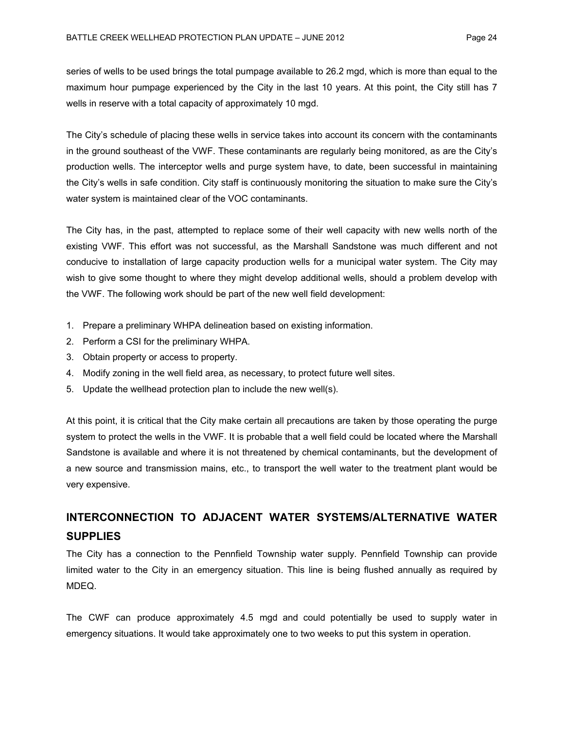wells in reserve with a total capacity of approximately 10 mgd.

series of wells to be used brings the total pumpage available to 26.2 mgd, which is more than equal to the maximum hour pumpage experienced by the City in the last 10 years. At this point, the City still has 7

The City's schedule of placing these wells in service takes into account its concern with the contaminants in the ground southeast of the VWF. These contaminants are regularly being monitored, as are the City's production wells. The interceptor wells and purge system have, to date, been successful in maintaining the City's wells in safe condition. City staff is continuously monitoring the situation to make sure the City's water system is maintained clear of the VOC contaminants.

The City has, in the past, attempted to replace some of their well capacity with new wells north of the existing VWF. This effort was not successful, as the Marshall Sandstone was much different and not conducive to installation of large capacity production wells for a municipal water system. The City may wish to give some thought to where they might develop additional wells, should a problem develop with the VWF. The following work should be part of the new well field development:

- 1. Prepare a preliminary WHPA delineation based on existing information.
- 2. Perform a CSI for the preliminary WHPA.
- 3. Obtain property or access to property.
- 4. Modify zoning in the well field area, as necessary, to protect future well sites.
- 5. Update the wellhead protection plan to include the new well(s).

At this point, it is critical that the City make certain all precautions are taken by those operating the purge system to protect the wells in the VWF. It is probable that a well field could be located where the Marshall Sandstone is available and where it is not threatened by chemical contaminants, but the development of a new source and transmission mains, etc., to transport the well water to the treatment plant would be very expensive.

# **INTERCONNECTION TO ADJACENT WATER SYSTEMS/ALTERNATIVE WATER SUPPLIES**

The City has a connection to the Pennfield Township water supply. Pennfield Township can provide limited water to the City in an emergency situation. This line is being flushed annually as required by MDEQ.

The CWF can produce approximately 4.5 mgd and could potentially be used to supply water in emergency situations. It would take approximately one to two weeks to put this system in operation.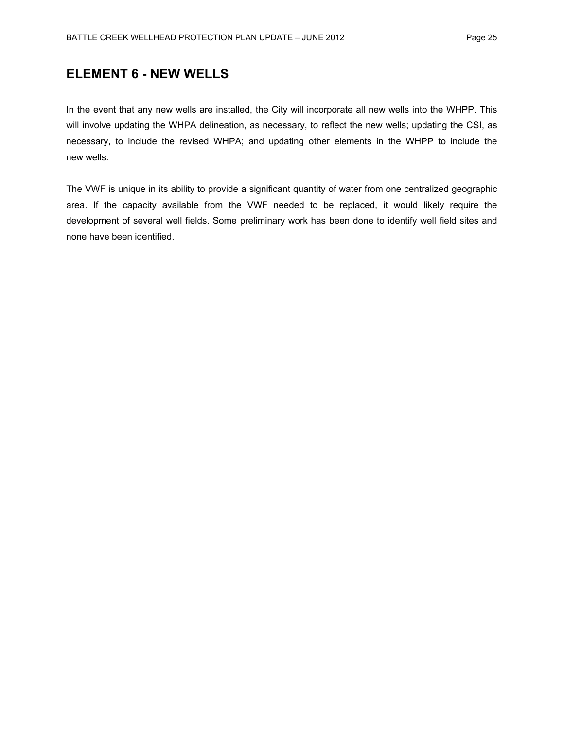# **ELEMENT 6 - NEW WELLS**

In the event that any new wells are installed, the City will incorporate all new wells into the WHPP. This will involve updating the WHPA delineation, as necessary, to reflect the new wells; updating the CSI, as necessary, to include the revised WHPA; and updating other elements in the WHPP to include the new wells.

The VWF is unique in its ability to provide a significant quantity of water from one centralized geographic area. If the capacity available from the VWF needed to be replaced, it would likely require the development of several well fields. Some preliminary work has been done to identify well field sites and none have been identified.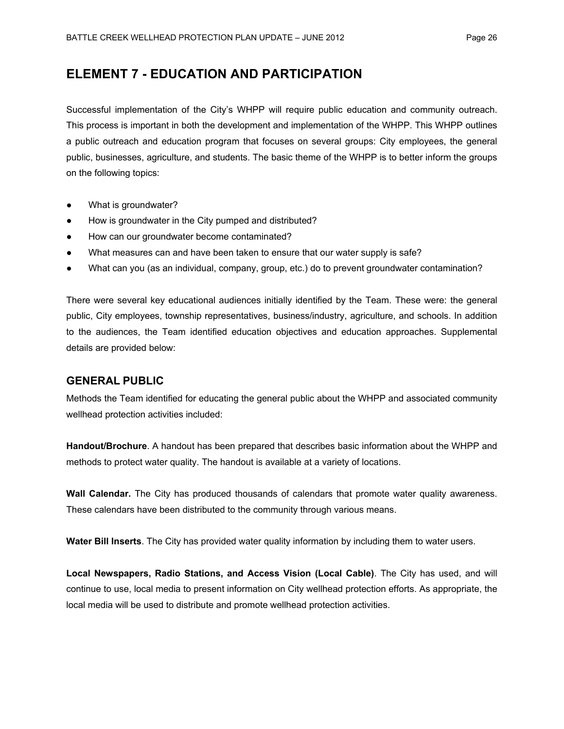# **ELEMENT 7 - EDUCATION AND PARTICIPATION**

Successful implementation of the City's WHPP will require public education and community outreach. This process is important in both the development and implementation of the WHPP. This WHPP outlines a public outreach and education program that focuses on several groups: City employees, the general public, businesses, agriculture, and students. The basic theme of the WHPP is to better inform the groups on the following topics:

- What is groundwater?
- How is groundwater in the City pumped and distributed?
- How can our groundwater become contaminated?
- What measures can and have been taken to ensure that our water supply is safe?
- What can you (as an individual, company, group, etc.) do to prevent groundwater contamination?

There were several key educational audiences initially identified by the Team. These were: the general public, City employees, township representatives, business/industry, agriculture, and schools. In addition to the audiences, the Team identified education objectives and education approaches. Supplemental details are provided below:

#### **GENERAL PUBLIC**

Methods the Team identified for educating the general public about the WHPP and associated community wellhead protection activities included:

**Handout/Brochure**. A handout has been prepared that describes basic information about the WHPP and methods to protect water quality. The handout is available at a variety of locations.

**Wall Calendar.** The City has produced thousands of calendars that promote water quality awareness. These calendars have been distributed to the community through various means.

**Water Bill Inserts**. The City has provided water quality information by including them to water users.

**Local Newspapers, Radio Stations, and Access Vision (Local Cable)**. The City has used, and will continue to use, local media to present information on City wellhead protection efforts. As appropriate, the local media will be used to distribute and promote wellhead protection activities.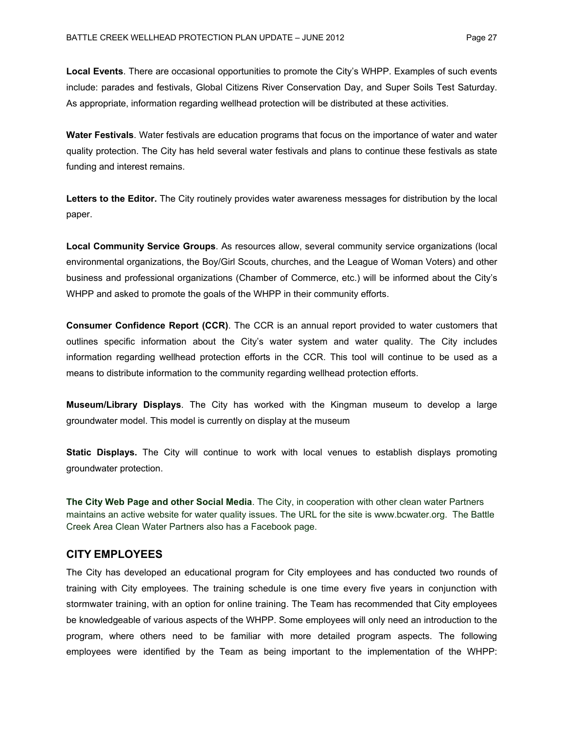**Local Events**. There are occasional opportunities to promote the City's WHPP. Examples of such events include: parades and festivals, Global Citizens River Conservation Day, and Super Soils Test Saturday. As appropriate, information regarding wellhead protection will be distributed at these activities.

**Water Festivals**. Water festivals are education programs that focus on the importance of water and water quality protection. The City has held several water festivals and plans to continue these festivals as state funding and interest remains.

**Letters to the Editor.** The City routinely provides water awareness messages for distribution by the local paper.

**Local Community Service Groups**. As resources allow, several community service organizations (local environmental organizations, the Boy/Girl Scouts, churches, and the League of Woman Voters) and other business and professional organizations (Chamber of Commerce, etc.) will be informed about the City's WHPP and asked to promote the goals of the WHPP in their community efforts.

**Consumer Confidence Report (CCR)**. The CCR is an annual report provided to water customers that outlines specific information about the City's water system and water quality. The City includes information regarding wellhead protection efforts in the CCR. This tool will continue to be used as a means to distribute information to the community regarding wellhead protection efforts.

**Museum/Library Displays**. The City has worked with the Kingman museum to develop a large groundwater model. This model is currently on display at the museum

**Static Displays.** The City will continue to work with local venues to establish displays promoting groundwater protection.

**The City Web Page and other Social Media**. The City, in cooperation with other clean water Partners maintains an active website for water quality issues. The URL for the site is www.bcwater.org. The Battle Creek Area Clean Water Partners also has a Facebook page.

#### **CITY EMPLOYEES**

The City has developed an educational program for City employees and has conducted two rounds of training with City employees. The training schedule is one time every five years in conjunction with stormwater training, with an option for online training. The Team has recommended that City employees be knowledgeable of various aspects of the WHPP. Some employees will only need an introduction to the program, where others need to be familiar with more detailed program aspects. The following employees were identified by the Team as being important to the implementation of the WHPP: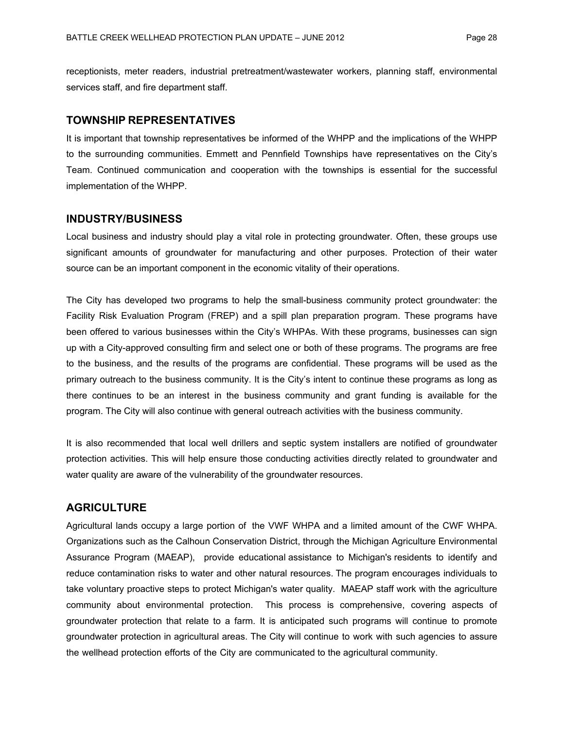receptionists, meter readers, industrial pretreatment/wastewater workers, planning staff, environmental services staff, and fire department staff.

#### **TOWNSHIP REPRESENTATIVES**

It is important that township representatives be informed of the WHPP and the implications of the WHPP to the surrounding communities. Emmett and Pennfield Townships have representatives on the City's Team. Continued communication and cooperation with the townships is essential for the successful implementation of the WHPP.

#### **INDUSTRY/BUSINESS**

Local business and industry should play a vital role in protecting groundwater. Often, these groups use significant amounts of groundwater for manufacturing and other purposes. Protection of their water source can be an important component in the economic vitality of their operations.

The City has developed two programs to help the small-business community protect groundwater: the Facility Risk Evaluation Program (FREP) and a spill plan preparation program. These programs have been offered to various businesses within the City's WHPAs. With these programs, businesses can sign up with a City-approved consulting firm and select one or both of these programs. The programs are free to the business, and the results of the programs are confidential. These programs will be used as the primary outreach to the business community. It is the City's intent to continue these programs as long as there continues to be an interest in the business community and grant funding is available for the program. The City will also continue with general outreach activities with the business community.

It is also recommended that local well drillers and septic system installers are notified of groundwater protection activities. This will help ensure those conducting activities directly related to groundwater and water quality are aware of the vulnerability of the groundwater resources.

### **AGRICULTURE**

Agricultural lands occupy a large portion of the VWF WHPA and a limited amount of the CWF WHPA. Organizations such as the Calhoun Conservation District, through the Michigan Agriculture Environmental Assurance Program (MAEAP), provide educational assistance to Michigan's residents to identify and reduce contamination risks to water and other natural resources. The program encourages individuals to take voluntary proactive steps to protect Michigan's water quality. MAEAP staff work with the agriculture community about environmental protection. This process is comprehensive, covering aspects of groundwater protection that relate to a farm. It is anticipated such programs will continue to promote groundwater protection in agricultural areas. The City will continue to work with such agencies to assure the wellhead protection efforts of the City are communicated to the agricultural community.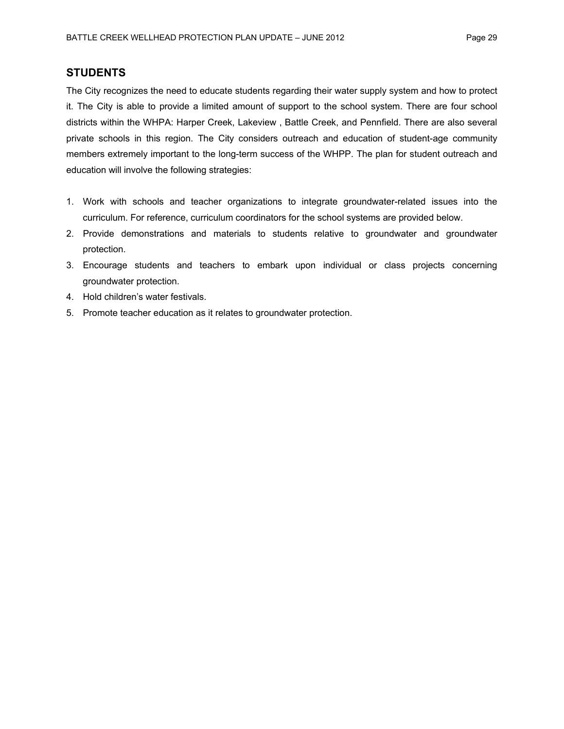### **STUDENTS**

The City recognizes the need to educate students regarding their water supply system and how to protect it. The City is able to provide a limited amount of support to the school system. There are four school districts within the WHPA: Harper Creek, Lakeview , Battle Creek, and Pennfield. There are also several private schools in this region. The City considers outreach and education of student-age community members extremely important to the long-term success of the WHPP. The plan for student outreach and education will involve the following strategies:

- 1. Work with schools and teacher organizations to integrate groundwater-related issues into the curriculum. For reference, curriculum coordinators for the school systems are provided below.
- 2. Provide demonstrations and materials to students relative to groundwater and groundwater protection.
- 3. Encourage students and teachers to embark upon individual or class projects concerning groundwater protection.
- 4. Hold children's water festivals.
- 5. Promote teacher education as it relates to groundwater protection.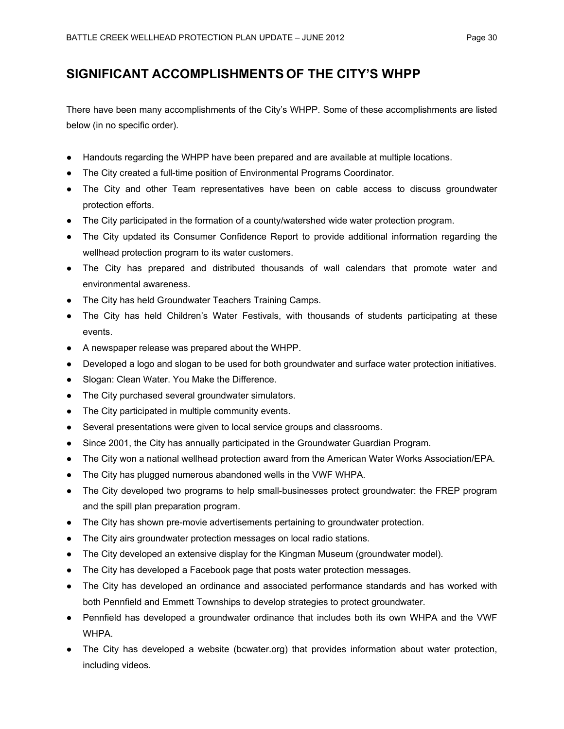# **SIGNIFICANT ACCOMPLISHMENTS OF THE CITY'S WHPP**

There have been many accomplishments of the City's WHPP. Some of these accomplishments are listed below (in no specific order).

- Handouts regarding the WHPP have been prepared and are available at multiple locations.
- The City created a full-time position of Environmental Programs Coordinator.
- The City and other Team representatives have been on cable access to discuss groundwater protection efforts.
- The City participated in the formation of a county/watershed wide water protection program.
- The City updated its Consumer Confidence Report to provide additional information regarding the wellhead protection program to its water customers.
- The City has prepared and distributed thousands of wall calendars that promote water and environmental awareness.
- The City has held Groundwater Teachers Training Camps.
- The City has held Children's Water Festivals, with thousands of students participating at these events.
- A newspaper release was prepared about the WHPP.
- Developed a logo and slogan to be used for both groundwater and surface water protection initiatives.
- Slogan: Clean Water. You Make the Difference.
- The City purchased several groundwater simulators.
- The City participated in multiple community events.
- Several presentations were given to local service groups and classrooms.
- Since 2001, the City has annually participated in the Groundwater Guardian Program.
- The City won a national wellhead protection award from the American Water Works Association/EPA.
- The City has plugged numerous abandoned wells in the VWF WHPA.
- The City developed two programs to help small-businesses protect groundwater: the FREP program and the spill plan preparation program.
- The City has shown pre-movie advertisements pertaining to groundwater protection.
- The City airs groundwater protection messages on local radio stations.
- The City developed an extensive display for the Kingman Museum (groundwater model).
- The City has developed a Facebook page that posts water protection messages.
- The City has developed an ordinance and associated performance standards and has worked with both Pennfield and Emmett Townships to develop strategies to protect groundwater.
- Pennfield has developed a groundwater ordinance that includes both its own WHPA and the VWF **WHPA**
- The City has developed a website (bcwater.org) that provides information about water protection, including videos.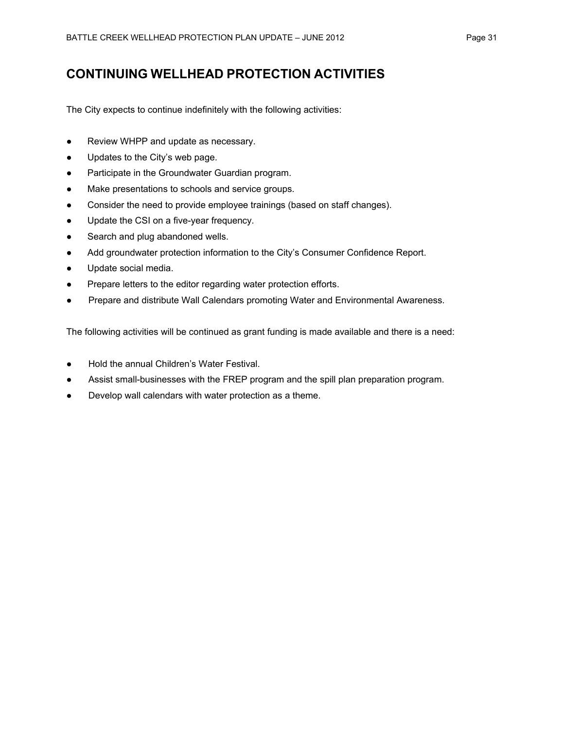# **CONTINUING WELLHEAD PROTECTION ACTIVITIES**

The City expects to continue indefinitely with the following activities:

- Review WHPP and update as necessary.
- Updates to the City's web page.
- Participate in the Groundwater Guardian program.
- Make presentations to schools and service groups.
- Consider the need to provide employee trainings (based on staff changes).
- Update the CSI on a five-year frequency.
- Search and plug abandoned wells.
- Add groundwater protection information to the City's Consumer Confidence Report.
- Update social media.
- Prepare letters to the editor regarding water protection efforts.
- Prepare and distribute Wall Calendars promoting Water and Environmental Awareness.

The following activities will be continued as grant funding is made available and there is a need:

- Hold the annual Children's Water Festival.
- Assist small-businesses with the FREP program and the spill plan preparation program.
- Develop wall calendars with water protection as a theme.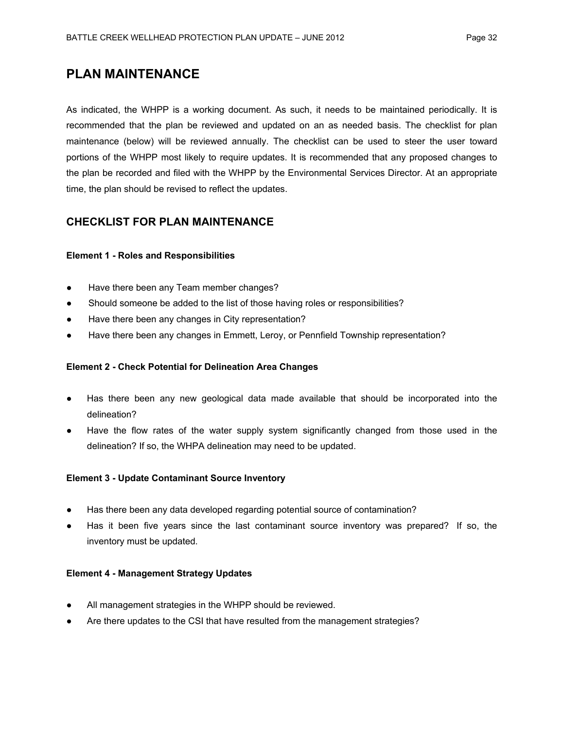# **PLAN MAINTENANCE**

As indicated, the WHPP is a working document. As such, it needs to be maintained periodically. It is recommended that the plan be reviewed and updated on an as needed basis. The checklist for plan maintenance (below) will be reviewed annually. The checklist can be used to steer the user toward portions of the WHPP most likely to require updates. It is recommended that any proposed changes to the plan be recorded and filed with the WHPP by the Environmental Services Director. At an appropriate time, the plan should be revised to reflect the updates.

### **CHECKLIST FOR PLAN MAINTENANCE**

#### **Element 1 - Roles and Responsibilities**

- Have there been any Team member changes?
- Should someone be added to the list of those having roles or responsibilities?
- Have there been any changes in City representation?
- Have there been any changes in Emmett, Leroy, or Pennfield Township representation?

#### **Element 2 - Check Potential for Delineation Area Changes**

- Has there been any new geological data made available that should be incorporated into the delineation?
- Have the flow rates of the water supply system significantly changed from those used in the delineation? If so, the WHPA delineation may need to be updated.

#### **Element 3 - Update Contaminant Source Inventory**

- Has there been any data developed regarding potential source of contamination?
- Has it been five years since the last contaminant source inventory was prepared? If so, the inventory must be updated.

#### **Element 4 - Management Strategy Updates**

- All management strategies in the WHPP should be reviewed.
- Are there updates to the CSI that have resulted from the management strategies?